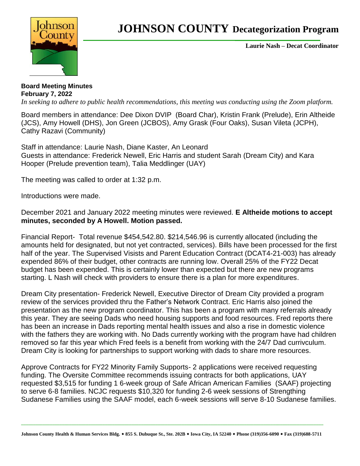

## **JOHNSON COUNTY Decategorization Program**

**Laurie Nash – Decat Coordinator**

**Board Meeting Minutes February 7, 2022** *In seeking to adhere to public health recommendations, this meeting was conducting using the Zoom platform.* 

Board members in attendance: Dee Dixon DVIP (Board Char), Kristin Frank (Prelude), Erin Altheide (JCS), Amy Howell (DHS), Jon Green (JCBOS), Amy Grask (Four Oaks), Susan Vileta (JCPH), Cathy Razavi (Community)

Staff in attendance: Laurie Nash, Diane Kaster, An Leonard Guests in attendance: Frederick Newell, Eric Harris and student Sarah (Dream City) and Kara Hooper (Prelude prevention team), Talia Meddlinger (UAY)

The meeting was called to order at 1:32 p.m.

Introductions were made.

December 2021 and January 2022 meeting minutes were reviewed. **E Altheide motions to accept minutes, seconded by A Howell. Motion passed.**

Financial Report- Total revenue \$454,542.80. \$214,546.96 is currently allocated (including the amounts held for designated, but not yet contracted, services). Bills have been processed for the first half of the year. The Supervised Visists and Parent Education Contract (DCAT4-21-003) has already expended 86% of their budget, other contracts are running low. Overall 25% of the FY22 Decat budget has been expended. This is certainly lower than expected but there are new programs starting. L Nash will check with providers to ensure there is a plan for more expenditures.

Dream City presentation- Frederick Newell, Executive Director of Dream City provided a program review of the services provided thru the Father's Network Contract. Eric Harris also joined the presentation as the new program coordinator. This has been a program with many referrals already this year. They are seeing Dads who need housing supports and food resources. Fred reports there has been an increase in Dads reporting mental health issues and also a rise in domestic violence with the fathers they are working with. No Dads currently working with the program have had children removed so far this year which Fred feels is a benefit from working with the 24/7 Dad currivculum. Dream City is looking for partnerships to support working with dads to share more resources.

Approve Contracts for FY22 Minority Family Supports- 2 applications were received requesting funding. The Oversite Committee recommends issuing contracts for both applications, UAY requested \$3,515 for funding 1 6-week group of Safe African American Families (SAAF) projecting to serve 6-8 families. NCJC requests \$10,320 for funding 2-6 week sessions of Strengthing Sudanese Families using the SAAF model, each 6-week sessions will serve 8-10 Sudanese families.